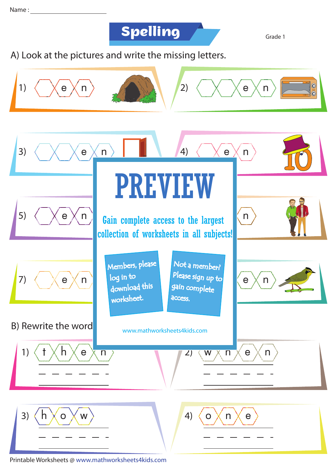## **Spelling**

Grade 1

Look at the pictures and write the missing letters. A)



Printable Worksheets @ www.mathworksheets4kids.com